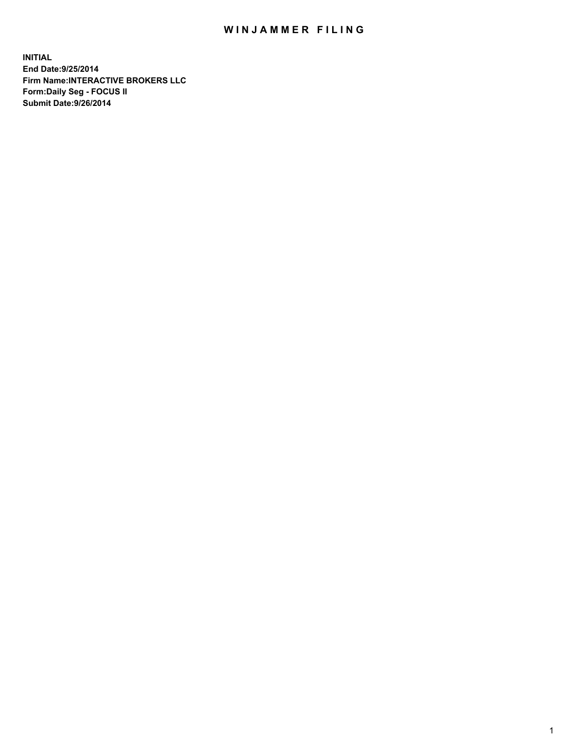## WIN JAMMER FILING

**INITIAL End Date:9/25/2014 Firm Name:INTERACTIVE BROKERS LLC Form:Daily Seg - FOCUS II Submit Date:9/26/2014**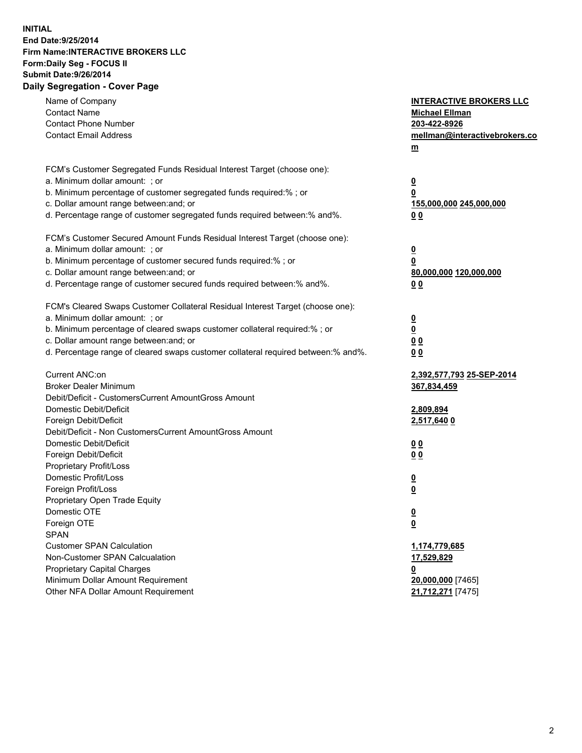## **INITIAL End Date:9/25/2014 Firm Name:INTERACTIVE BROKERS LLC Form:Daily Seg - FOCUS II Submit Date:9/26/2014 Daily Segregation - Cover Page**

| Name of Company<br><b>Contact Name</b><br><b>Contact Phone Number</b><br><b>Contact Email Address</b>    | <b>INTERACTIVE BROKERS LLC</b><br><b>Michael Ellman</b><br>203-422-8926<br>mellman@interactivebrokers.co<br>$m$ |
|----------------------------------------------------------------------------------------------------------|-----------------------------------------------------------------------------------------------------------------|
| FCM's Customer Segregated Funds Residual Interest Target (choose one):<br>a. Minimum dollar amount: ; or | $\overline{\mathbf{0}}$                                                                                         |
| b. Minimum percentage of customer segregated funds required:% ; or                                       | 0                                                                                                               |
| c. Dollar amount range between: and; or                                                                  | 155,000,000 245,000,000                                                                                         |
| d. Percentage range of customer segregated funds required between:% and%.                                | 0 <sub>0</sub>                                                                                                  |
| FCM's Customer Secured Amount Funds Residual Interest Target (choose one):                               |                                                                                                                 |
| a. Minimum dollar amount: ; or                                                                           | $\overline{\mathbf{0}}$                                                                                         |
| b. Minimum percentage of customer secured funds required:% ; or                                          | 0                                                                                                               |
| c. Dollar amount range between: and; or                                                                  | 80,000,000 120,000,000                                                                                          |
| d. Percentage range of customer secured funds required between:% and%.                                   | 0 <sub>0</sub>                                                                                                  |
| FCM's Cleared Swaps Customer Collateral Residual Interest Target (choose one):                           |                                                                                                                 |
| a. Minimum dollar amount: ; or                                                                           | $\overline{\mathbf{0}}$                                                                                         |
| b. Minimum percentage of cleared swaps customer collateral required:% ; or                               | $\overline{\mathbf{0}}$                                                                                         |
| c. Dollar amount range between: and; or                                                                  | 0 <sub>0</sub>                                                                                                  |
| d. Percentage range of cleared swaps customer collateral required between:% and%.                        | 0 <sub>0</sub>                                                                                                  |
| Current ANC:on                                                                                           | 2,392,577,793 25-SEP-2014                                                                                       |
| <b>Broker Dealer Minimum</b>                                                                             | 367,834,459                                                                                                     |
| Debit/Deficit - CustomersCurrent AmountGross Amount                                                      |                                                                                                                 |
| Domestic Debit/Deficit                                                                                   | 2,809,894                                                                                                       |
| Foreign Debit/Deficit                                                                                    | 2,517,640 0                                                                                                     |
| Debit/Deficit - Non CustomersCurrent AmountGross Amount                                                  |                                                                                                                 |
| Domestic Debit/Deficit                                                                                   | 0 <sub>0</sub>                                                                                                  |
| Foreign Debit/Deficit                                                                                    | 0 <sub>0</sub>                                                                                                  |
| Proprietary Profit/Loss<br>Domestic Profit/Loss                                                          |                                                                                                                 |
| Foreign Profit/Loss                                                                                      | $\overline{\mathbf{0}}$<br>$\underline{\mathbf{0}}$                                                             |
| Proprietary Open Trade Equity                                                                            |                                                                                                                 |
| Domestic OTE                                                                                             | <u>0</u>                                                                                                        |
| Foreign OTE                                                                                              | <u>0</u>                                                                                                        |
| <b>SPAN</b>                                                                                              |                                                                                                                 |
| <b>Customer SPAN Calculation</b>                                                                         | 1,174,779,685                                                                                                   |
| Non-Customer SPAN Calcualation                                                                           | <u>17,529,829</u>                                                                                               |
| Proprietary Capital Charges                                                                              | <u>0</u>                                                                                                        |
| Minimum Dollar Amount Requirement                                                                        | 20,000,000 [7465]                                                                                               |
| Other NFA Dollar Amount Requirement                                                                      | 21,712,271 [7475]                                                                                               |
|                                                                                                          |                                                                                                                 |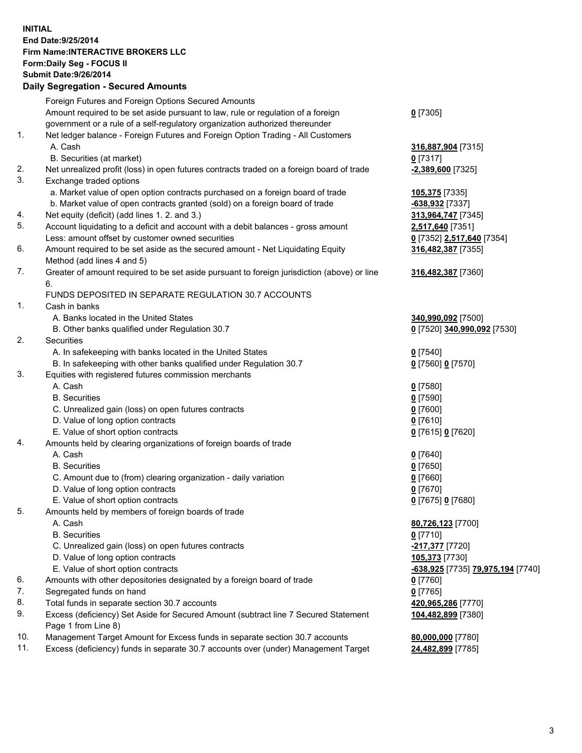## **INITIAL End Date:9/25/2014 Firm Name:INTERACTIVE BROKERS LLC Form:Daily Seg - FOCUS II Submit Date:9/26/2014 Daily Segregation - Secured Amounts**

|                | Daily Ocglegation - Occarea Anioants                                                                       |                                   |
|----------------|------------------------------------------------------------------------------------------------------------|-----------------------------------|
|                | Foreign Futures and Foreign Options Secured Amounts                                                        |                                   |
|                | Amount required to be set aside pursuant to law, rule or regulation of a foreign                           | $0$ [7305]                        |
|                | government or a rule of a self-regulatory organization authorized thereunder                               |                                   |
| 1.             | Net ledger balance - Foreign Futures and Foreign Option Trading - All Customers                            |                                   |
|                | A. Cash                                                                                                    | 316,887,904 [7315]                |
|                | B. Securities (at market)                                                                                  | $0$ [7317]                        |
| 2.             | Net unrealized profit (loss) in open futures contracts traded on a foreign board of trade                  | -2,389,600 [7325]                 |
| 3.             | Exchange traded options                                                                                    |                                   |
|                | a. Market value of open option contracts purchased on a foreign board of trade                             | 105,375 [7335]                    |
|                | b. Market value of open contracts granted (sold) on a foreign board of trade                               | -638,932 [7337]                   |
| 4.             | Net equity (deficit) (add lines 1.2. and 3.)                                                               | 313,964,747 [7345]                |
| 5.             | Account liquidating to a deficit and account with a debit balances - gross amount                          | 2,517,640 [7351]                  |
|                | Less: amount offset by customer owned securities                                                           | 0 [7352] 2,517,640 [7354]         |
| 6.             | Amount required to be set aside as the secured amount - Net Liquidating Equity                             | 316,482,387 [7355]                |
|                | Method (add lines 4 and 5)                                                                                 |                                   |
| 7.             | Greater of amount required to be set aside pursuant to foreign jurisdiction (above) or line                | 316,482,387 [7360]                |
|                | 6.                                                                                                         |                                   |
|                | FUNDS DEPOSITED IN SEPARATE REGULATION 30.7 ACCOUNTS                                                       |                                   |
| $\mathbf{1}$ . | Cash in banks                                                                                              |                                   |
|                | A. Banks located in the United States                                                                      | 340,990,092 [7500]                |
|                | B. Other banks qualified under Regulation 30.7                                                             | 0 [7520] 340,990,092 [7530]       |
| 2.             | Securities                                                                                                 |                                   |
|                | A. In safekeeping with banks located in the United States                                                  | $0$ [7540]                        |
|                | B. In safekeeping with other banks qualified under Regulation 30.7                                         | 0 [7560] 0 [7570]                 |
| 3.             | Equities with registered futures commission merchants                                                      |                                   |
|                | A. Cash                                                                                                    | $0$ [7580]                        |
|                | <b>B.</b> Securities                                                                                       | $0$ [7590]                        |
|                | C. Unrealized gain (loss) on open futures contracts                                                        | $0$ [7600]                        |
|                | D. Value of long option contracts                                                                          | $0$ [7610]                        |
|                | E. Value of short option contracts                                                                         | 0 [7615] 0 [7620]                 |
| 4.             | Amounts held by clearing organizations of foreign boards of trade                                          |                                   |
|                | A. Cash                                                                                                    | $0$ [7640]                        |
|                | <b>B.</b> Securities                                                                                       | $0$ [7650]                        |
|                | C. Amount due to (from) clearing organization - daily variation                                            | $0$ [7660]                        |
|                | D. Value of long option contracts                                                                          | $0$ [7670]                        |
|                | E. Value of short option contracts                                                                         | 0 [7675] 0 [7680]                 |
| 5.             | Amounts held by members of foreign boards of trade                                                         |                                   |
|                | A. Cash                                                                                                    | 80,726,123 [7700]                 |
|                | <b>B.</b> Securities                                                                                       | $0$ [7710]                        |
|                | C. Unrealized gain (loss) on open futures contracts                                                        | -217,377 [7720]                   |
|                | D. Value of long option contracts                                                                          | 105,373 [7730]                    |
|                | E. Value of short option contracts                                                                         | -638,925 [7735] 79,975,194 [7740] |
| 6.             | Amounts with other depositories designated by a foreign board of trade                                     | 0 [7760]                          |
| 7.             | Segregated funds on hand                                                                                   | $0$ [7765]                        |
| 8.             | Total funds in separate section 30.7 accounts                                                              | 420,965,286 [7770]                |
| 9.             | Excess (deficiency) Set Aside for Secured Amount (subtract line 7 Secured Statement<br>Page 1 from Line 8) | 104,482,899 [7380]                |
| 10.            | Management Target Amount for Excess funds in separate section 30.7 accounts                                | 80,000,000 [7780]                 |
| 11.            | Excess (deficiency) funds in separate 30.7 accounts over (under) Management Target                         | 24,482,899 [7785]                 |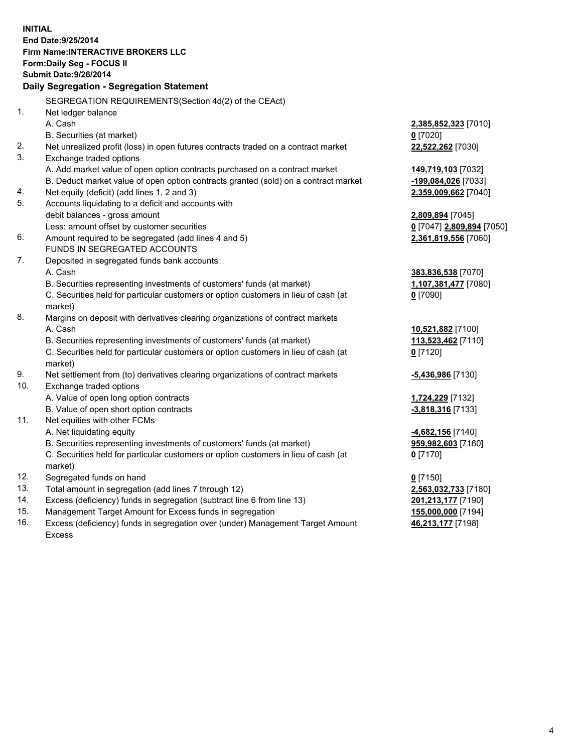**INITIAL End Date:9/25/2014 Firm Name:INTERACTIVE BROKERS LLC Form:Daily Seg - FOCUS II Submit Date:9/26/2014 Daily Segregation - Segregation Statement** SEGREGATION REQUIREMENTS(Section 4d(2) of the CEAct) 1. Net ledger balance A. Cash **2,385,852,323** [7010] B. Securities (at market) **0** [7020] 2. Net unrealized profit (loss) in open futures contracts traded on a contract market **22,522,262** [7030] 3. Exchange traded options A. Add market value of open option contracts purchased on a contract market **149,719,103** [7032] B. Deduct market value of open option contracts granted (sold) on a contract market **-199,084,026** [7033] 4. Net equity (deficit) (add lines 1, 2 and 3) **2,359,009,662** [7040] 5. Accounts liquidating to a deficit and accounts with debit balances - gross amount **2,809,894** [7045] Less: amount offset by customer securities **0** [7047] **2,809,894** [7050] 6. Amount required to be segregated (add lines 4 and 5) **2,361,819,556** [7060] FUNDS IN SEGREGATED ACCOUNTS 7. Deposited in segregated funds bank accounts A. Cash **383,836,538** [7070] B. Securities representing investments of customers' funds (at market) **1,107,381,477** [7080] C. Securities held for particular customers or option customers in lieu of cash (at market) **0** [7090] 8. Margins on deposit with derivatives clearing organizations of contract markets A. Cash **10,521,882** [7100] B. Securities representing investments of customers' funds (at market) **113,523,462** [7110] C. Securities held for particular customers or option customers in lieu of cash (at market) **0** [7120] 9. Net settlement from (to) derivatives clearing organizations of contract markets **-5,436,986** [7130] 10. Exchange traded options A. Value of open long option contracts **1,724,229** [7132] B. Value of open short option contracts **-3,818,316** [7133] 11. Net equities with other FCMs A. Net liquidating equity **-4,682,156** [7140] B. Securities representing investments of customers' funds (at market) **959,982,603** [7160] C. Securities held for particular customers or option customers in lieu of cash (at market) **0** [7170] 12. Segregated funds on hand **0** [7150] 13. Total amount in segregation (add lines 7 through 12) **2,563,032,733** [7180] 14. Excess (deficiency) funds in segregation (subtract line 6 from line 13) **201,213,177** [7190] 15. Management Target Amount for Excess funds in segregation **155,000,000** [7194]

16. Excess (deficiency) funds in segregation over (under) Management Target Amount Excess

**46,213,177** [7198]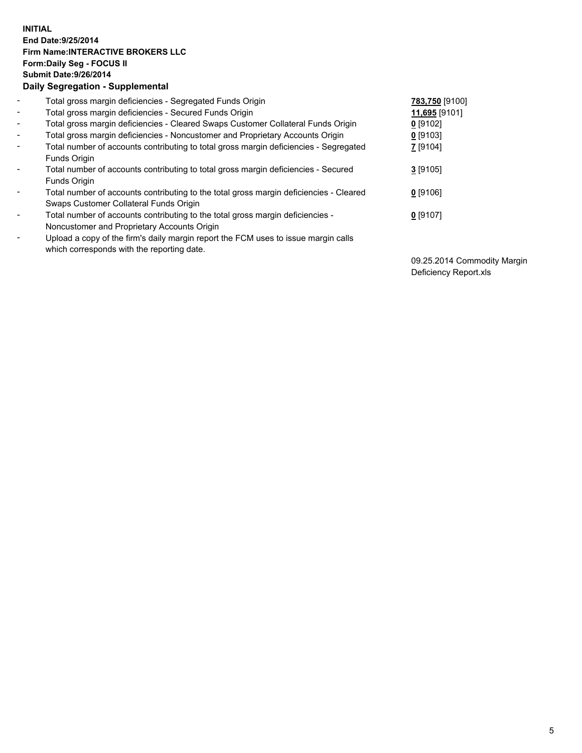## **INITIAL End Date:9/25/2014 Firm Name:INTERACTIVE BROKERS LLC Form:Daily Seg - FOCUS II Submit Date:9/26/2014 Daily Segregation - Supplemental**

| $\blacksquare$           | Total gross margin deficiencies - Segregated Funds Origin                                                                        | 783,750 [9100] |
|--------------------------|----------------------------------------------------------------------------------------------------------------------------------|----------------|
| $\blacksquare$           | Total gross margin deficiencies - Secured Funds Origin                                                                           | 11,695 [9101]  |
| $\blacksquare$           | Total gross margin deficiencies - Cleared Swaps Customer Collateral Funds Origin                                                 | $0$ [9102]     |
| $\blacksquare$           | Total gross margin deficiencies - Noncustomer and Proprietary Accounts Origin                                                    | $0$ [9103]     |
| $\blacksquare$           | Total number of accounts contributing to total gross margin deficiencies - Segregated<br>Funds Origin                            | 7 [9104]       |
| $\blacksquare$           | Total number of accounts contributing to total gross margin deficiencies - Secured<br><b>Funds Origin</b>                        | $3$ [9105]     |
| $\overline{\phantom{a}}$ | Total number of accounts contributing to the total gross margin deficiencies - Cleared<br>Swaps Customer Collateral Funds Origin | $0$ [9106]     |
| -                        | Total number of accounts contributing to the total gross margin deficiencies -<br>Noncustomer and Proprietary Accounts Origin    | $0$ [9107]     |
| $\blacksquare$           | Upload a copy of the firm's daily margin report the FCM uses to issue margin calls<br>which corresponds with the reporting date. |                |

09.25.2014 Commodity Margin Deficiency Report.xls